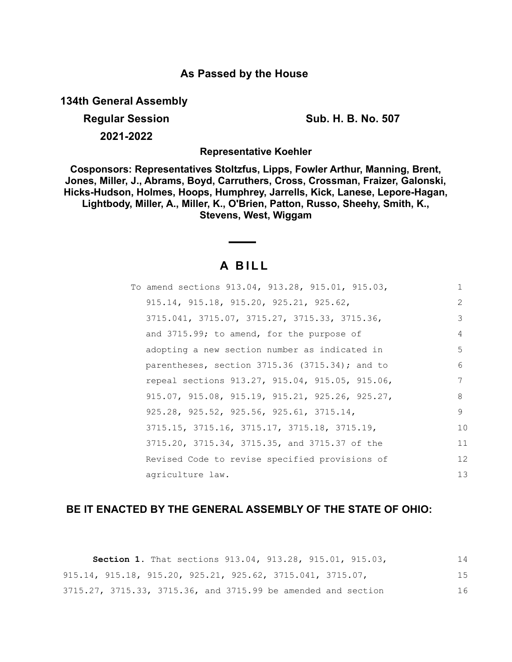## **As Passed by the House**

**134th General Assembly**

**Regular Session Sub. H. B. No. 507 2021-2022**

**Representative Koehler**

**Cosponsors: Representatives Stoltzfus, Lipps, Fowler Arthur, Manning, Brent, Jones, Miller, J., Abrams, Boyd, Carruthers, Cross, Crossman, Fraizer, Galonski, Hicks-Hudson, Holmes, Hoops, Humphrey, Jarrells, Kick, Lanese, Lepore-Hagan, Lightbody, Miller, A., Miller, K., O'Brien, Patton, Russo, Sheehy, Smith, K., Stevens, West, Wiggam**

# **A B I L L**

| To amend sections 913.04, 913.28, 915.01, 915.03,     | $\mathbf{1}$ |
|-------------------------------------------------------|--------------|
| $915.14, 915.18, 915.20, 925.21, 925.62,$             | 2            |
| 3715.041, 3715.07, 3715.27, 3715.33, 3715.36,         | 3            |
| and 3715.99; to amend, for the purpose of             | 4            |
| adopting a new section number as indicated in         | 5            |
| parentheses, section $3715.36$ (3715.34); and to      | 6            |
| repeal sections 913.27, 915.04, 915.05, 915.06,       | 7            |
| $915.07, 915.08, 915.19, 915.21, 925.26, 925.27,$     | 8            |
| $925.28$ , $925.52$ , $925.56$ , $925.61$ , $3715.14$ | 9            |
| 3715.15, 3715.16, 3715.17, 3715.18, 3715.19,          | 10           |
| 3715.20, 3715.34, 3715.35, and 3715.37 of the         | 11           |
| Revised Code to revise specified provisions of        | 12           |
| agriculture law.                                      | 13           |

## **BE IT ENACTED BY THE GENERAL ASSEMBLY OF THE STATE OF OHIO:**

|  |  | <b>Section 1.</b> That sections 913.04, 913.28, 915.01, 915.03,                 |  | 14  |
|--|--|---------------------------------------------------------------------------------|--|-----|
|  |  | $915.14$ , $915.18$ , $915.20$ , $925.21$ , $925.62$ , $3715.041$ , $3715.07$ , |  | 1.5 |
|  |  | 3715.27, 3715.33, 3715.36, and 3715.99 be amended and section                   |  | 1 6 |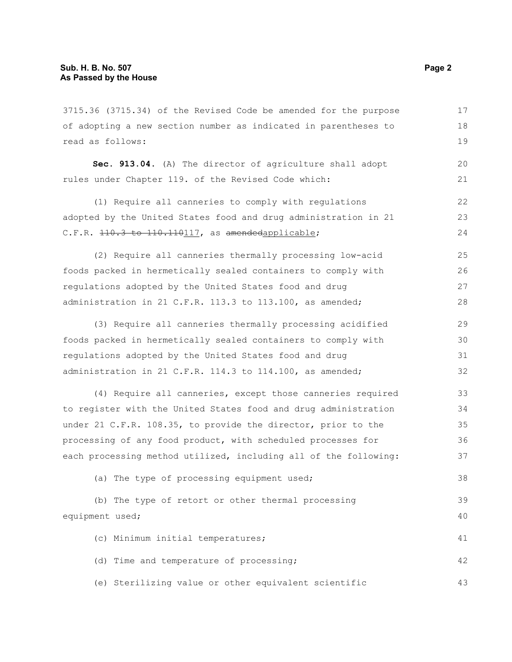3715.36 (3715.34) of the Revised Code be amended for the purpose of adopting a new section number as indicated in parentheses to read as follows: **Sec. 913.04.** (A) The director of agriculture shall adopt rules under Chapter 119. of the Revised Code which: (1) Require all canneries to comply with regulations adopted by the United States food and drug administration in 21 C.F.R. 110.3 to 110.110117, as amendedapplicable; (2) Require all canneries thermally processing low-acid foods packed in hermetically sealed containers to comply with regulations adopted by the United States food and drug administration in 21 C.F.R. 113.3 to 113.100, as amended; (3) Require all canneries thermally processing acidified foods packed in hermetically sealed containers to comply with regulations adopted by the United States food and drug administration in 21 C.F.R. 114.3 to 114.100, as amended; (4) Require all canneries, except those canneries required to register with the United States food and drug administration under 21 C.F.R. 108.35, to provide the director, prior to the processing of any food product, with scheduled processes for each processing method utilized, including all of the following: (a) The type of processing equipment used; (b) The type of retort or other thermal processing equipment used; (c) Minimum initial temperatures; (d) Time and temperature of processing; (e) Sterilizing value or other equivalent scientific 17 18 19 20 21 22 23 24 25 26 27 28 29 30 31 32 33 34 35 36 37 38 39 40 41 42 43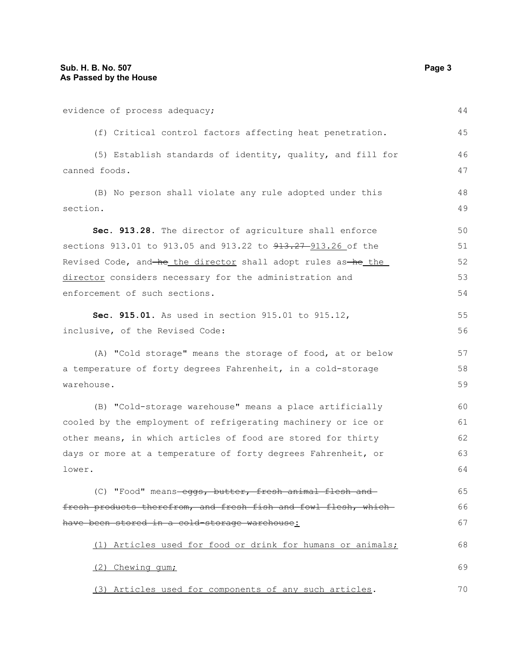| evidence of process adequacy;                                           | 44 |
|-------------------------------------------------------------------------|----|
| (f) Critical control factors affecting heat penetration.                | 45 |
| (5) Establish standards of identity, quality, and fill for              | 46 |
| canned foods.                                                           | 47 |
| (B) No person shall violate any rule adopted under this                 | 48 |
| section.                                                                | 49 |
| Sec. 913.28. The director of agriculture shall enforce                  | 50 |
| sections 913.01 to 913.05 and 913.22 to <del>913.27 913.26</del> of the | 51 |
| Revised Code, and he the director shall adopt rules as he the           | 52 |
| director considers necessary for the administration and                 | 53 |
| enforcement of such sections.                                           | 54 |
| Sec. 915.01. As used in section 915.01 to 915.12,                       | 55 |
| inclusive, of the Revised Code:                                         | 56 |
| (A) "Cold storage" means the storage of food, at or below               | 57 |
| a temperature of forty degrees Fahrenheit, in a cold-storage            | 58 |
| warehouse.                                                              | 59 |
| (B) "Cold-storage warehouse" means a place artificially                 | 60 |
| cooled by the employment of refrigerating machinery or ice or           | 61 |
| other means, in which articles of food are stored for thirty            | 62 |
| days or more at a temperature of forty degrees Fahrenheit, or           | 63 |
| lower.                                                                  | 64 |
| (C) "Food" means-eggs, butter, fresh animal flesh and-                  | 65 |
| fresh products therefrom, and fresh fish and fowl flesh, which-         | 66 |
| have been stored in a cold-storage warehouse:                           | 67 |
| (1) Articles used for food or drink for humans or animals;              | 68 |
| (2) Chewing gum;                                                        | 69 |
| (3) Articles used for components of any such articles.                  | 70 |
|                                                                         |    |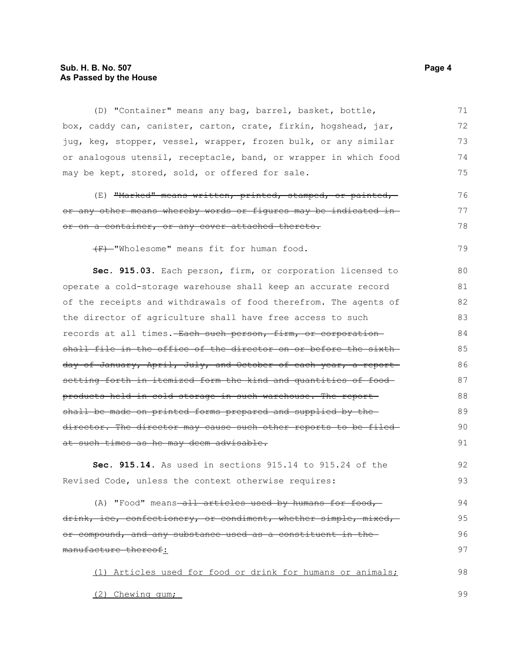### **Sub. H. B. No. 507 Page 4 As Passed by the House**

(D) "Container" means any bag, barrel, basket, bottle, box, caddy can, canister, carton, crate, firkin, hogshead, jar, jug, keg, stopper, vessel, wrapper, frozen bulk, or any similar or analogous utensil, receptacle, band, or wrapper in which food may be kept, stored, sold, or offered for sale. 71 72 73 74 75

(E) "Marked" means written, printed, stamped, or painted, or any other means whereby words or figures may be indicated in or on a container, or any cover attached thereto. 76 77 78

(F) "Wholesome" means fit for human food.

**Sec. 915.03.** Each person, firm, or corporation licensed to operate a cold-storage warehouse shall keep an accurate record of the receipts and withdrawals of food therefrom. The agents of the director of agriculture shall have free access to such records at all times. Each such person, firm, or corporation shall file in the office of the director on or before the sixthday of January, April, July, and October of each year, a report setting forth in itemized form the kind and quantities of food products held in cold storage in such warehouse. The report shall be made on printed forms prepared and supplied by the director. The director may cause such other reports to be filedat such times as he may deem advisable. 80 81 82 83 84 85 86 87 88 89 90 91

**Sec. 915.14.** As used in sections 915.14 to 915.24 of the Revised Code, unless the context otherwise requires: 92 93

(A) "Food" means-all articles used by humans for food, drink, ice, confectionery, or condiment, whether simple, mixed, or compound, and any substance used as a constituent in the manufacture thereof: 94 95 96 97

(1) Articles used for food or drink for humans or animals; 98

(2) Chewing gum;

79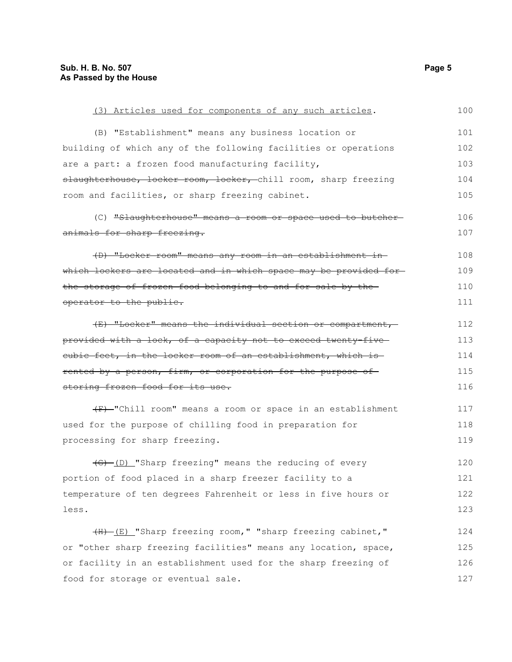| (3) Articles used for components of any such articles.                    | 100 |
|---------------------------------------------------------------------------|-----|
| (B) "Establishment" means any business location or                        | 101 |
| building of which any of the following facilities or operations           | 102 |
| are a part: a frozen food manufacturing facility,                         | 103 |
| slaughterhouse, locker room, locker, chill room, sharp freezing           | 104 |
| room and facilities, or sharp freezing cabinet.                           | 105 |
| (C) "Slaughterhouse" means a room or space used to butcher-               | 106 |
| animals for sharp freezing.                                               | 107 |
| (D) "Locker room" means any room in an establishment in                   | 108 |
| which lockers are located and in which space may be provided for-         | 109 |
| the storage of frozen food belonging to and for sale by the-              | 110 |
| operator to the public.                                                   | 111 |
| (E) "Locker" means the individual section or compartment,                 | 112 |
| <del>provided with a lock, of a capacity not to exceed twenty-five-</del> | 113 |
| cubic feet, in the locker room of an establishment, which is              | 114 |
| <u>rented by a person, firm, or corporation for the purpose of </u>       | 115 |
| <del>storing frozen food for its use.</del>                               | 116 |
| (F) "Chill room" means a room or space in an establishment                | 117 |
| used for the purpose of chilling food in preparation for                  | 118 |
| processing for sharp freezing.                                            | 119 |
| $\frac{1}{10}$ (D) "Sharp freezing" means the reducing of every           | 120 |
| portion of food placed in a sharp freezer facility to a                   | 121 |
| temperature of ten degrees Fahrenheit or less in five hours or            | 122 |
| less.                                                                     | 123 |
| (H) (E) "Sharp freezing room," "sharp freezing cabinet,"                  | 124 |
| or "other sharp freezing facilities" means any location, space,           | 125 |
| or facility in an establishment used for the sharp freezing of            | 126 |
| food for storage or eventual sale.                                        | 127 |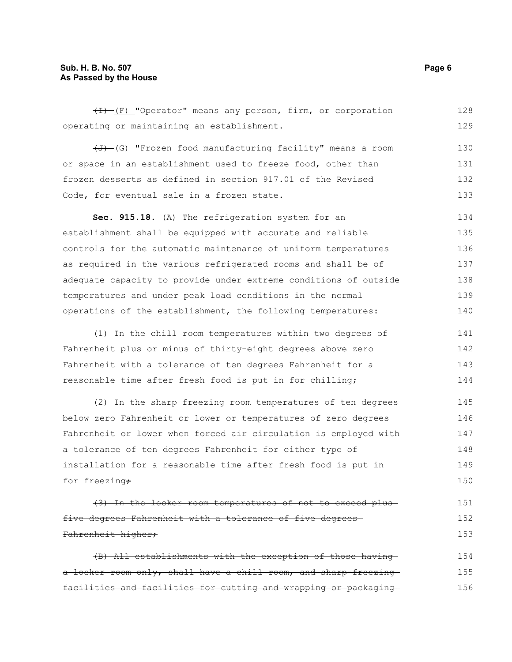### **Sub. H. B. No. 507 Page 6 As Passed by the House**

(I) (F) "Operator" means any person, firm, or corporation operating or maintaining an establishment. 128 129

 $\overline{(J)}$  (G) "Frozen food manufacturing facility" means a room or space in an establishment used to freeze food, other than frozen desserts as defined in section 917.01 of the Revised Code, for eventual sale in a frozen state. 130 131 132 133

**Sec. 915.18.** (A) The refrigeration system for an establishment shall be equipped with accurate and reliable controls for the automatic maintenance of uniform temperatures as required in the various refrigerated rooms and shall be of adequate capacity to provide under extreme conditions of outside temperatures and under peak load conditions in the normal operations of the establishment, the following temperatures: 134 135 136 137 138 139 140

(1) In the chill room temperatures within two degrees of Fahrenheit plus or minus of thirty-eight degrees above zero Fahrenheit with a tolerance of ten degrees Fahrenheit for a reasonable time after fresh food is put in for chilling; 141 142 143 144

(2) In the sharp freezing room temperatures of ten degrees below zero Fahrenheit or lower or temperatures of zero degrees Fahrenheit or lower when forced air circulation is employed with a tolerance of ten degrees Fahrenheit for either type of installation for a reasonable time after fresh food is put in for freezing+ 145 146 147 148 149 150

(3) In the locker room temperatures of not to exceed plus five degrees Fahrenheit with a tolerance of five degrees Fahrenheit higher; 151 152 153

| (B) All establishments with the exception of those having        | 154 |
|------------------------------------------------------------------|-----|
| a locker room only, shall have a chill room, and sharp-freezing- | 155 |
| facilities and facilities for cutting and wrapping or packaging  | 156 |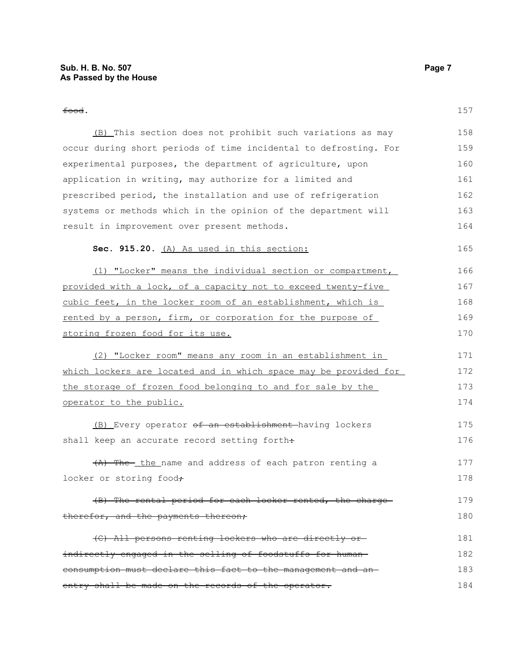food.

#### **Sec. 915.20.** (A) As used in this section:

(1) "Locker" means the individual section or compartment, provided with a lock, of a capacity not to exceed twenty-five cubic feet, in the locker room of an establishment, which is rented by a person, firm, or corporation for the purpose of storing frozen food for its use. 166 167 168 169 170

(2) "Locker room" means any room in an establishment in which lockers are located and in which space may be provided for the storage of frozen food belonging to and for sale by the operator to the public.

(B) Every operator of an establishment having lockers shall keep an accurate record setting forth÷ 175 176

(A) The the name and address of each patron renting a locker or storing food+ 177 178

(B) The rental period for each locker rented, the charge therefor, and the payments thereon; 179 180

(C) All persons renting lockers who are directly or indirectly engaged in the selling of foodstuffs for human consumption must declare this fact to the management and an entry shall be made on the records of the operator. 181 182 183 184

165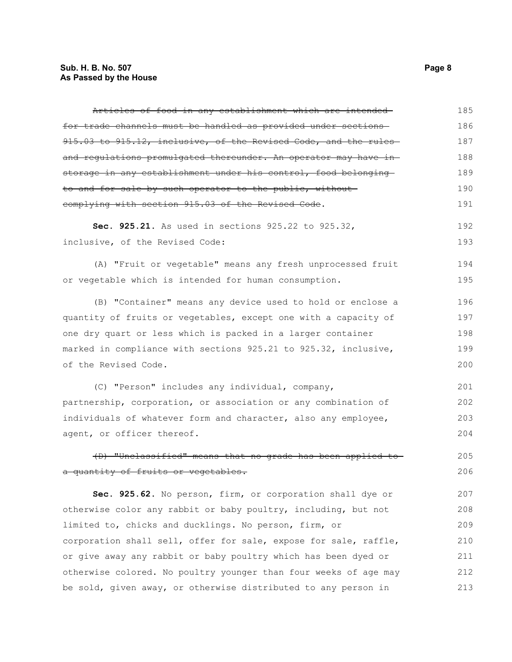| Articles of food in any establishment which are intended-                   | 185 |
|-----------------------------------------------------------------------------|-----|
| for trade channels must be handled as provided under sections               | 186 |
| 915.03 to 915.12, inclusive, of the Revised Code, and the rules             | 187 |
| <del>and regulations promulgated thereunder. An operator may have in-</del> | 188 |
| storage in any establishment under his control, food belonging              | 189 |
| to and for sale by such operator to the public, without-                    | 190 |
| complying with section 915.03 of the Revised Code.                          | 191 |
| Sec. 925.21. As used in sections 925.22 to 925.32,                          | 192 |
| inclusive, of the Revised Code:                                             | 193 |
| (A) "Fruit or vegetable" means any fresh unprocessed fruit                  | 194 |
| or vegetable which is intended for human consumption.                       | 195 |
| (B) "Container" means any device used to hold or enclose a                  | 196 |
| quantity of fruits or vegetables, except one with a capacity of             | 197 |
| one dry quart or less which is packed in a larger container                 | 198 |
| marked in compliance with sections 925.21 to 925.32, inclusive,             | 199 |
| of the Revised Code.                                                        | 200 |
| (C) "Person" includes any individual, company,                              | 201 |
| partnership, corporation, or association or any combination of              | 202 |
| individuals of whatever form and character, also any employee,              | 203 |
| agent, or officer thereof.                                                  | 204 |
| (D) "Unclassified" means that no grade has been applied to                  | 205 |
| a quantity of fruits or vegetables.                                         | 206 |
| Sec. 925.62. No person, firm, or corporation shall dye or                   | 207 |
| otherwise color any rabbit or baby poultry, including, but not              | 208 |
| limited to, chicks and ducklings. No person, firm, or                       | 209 |
| corporation shall sell, offer for sale, expose for sale, raffle,            | 210 |
| or give away any rabbit or baby poultry which has been dyed or              | 211 |
| otherwise colored. No poultry younger than four weeks of age may            | 212 |
| be sold, given away, or otherwise distributed to any person in              | 213 |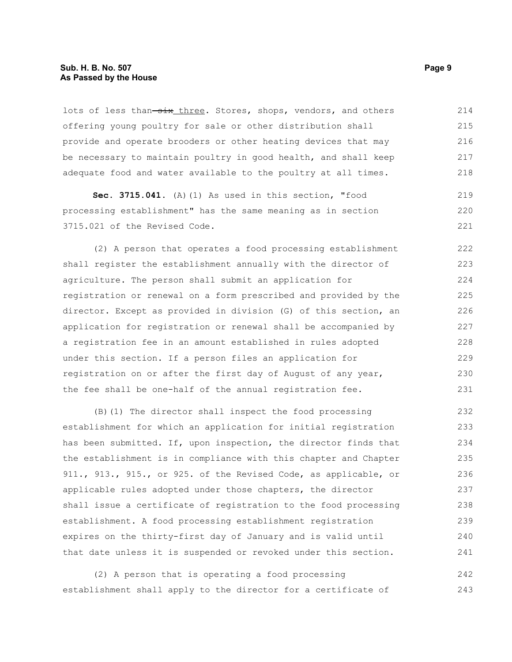#### **Sub. H. B. No. 507 Page 9 As Passed by the House**

lots of less than-six three. Stores, shops, vendors, and others offering young poultry for sale or other distribution shall provide and operate brooders or other heating devices that may be necessary to maintain poultry in good health, and shall keep adequate food and water available to the poultry at all times. 214 215 216 217 218

**Sec. 3715.041.** (A)(1) As used in this section, "food processing establishment" has the same meaning as in section 3715.021 of the Revised Code.

(2) A person that operates a food processing establishment shall register the establishment annually with the director of agriculture. The person shall submit an application for registration or renewal on a form prescribed and provided by the director. Except as provided in division (G) of this section, an application for registration or renewal shall be accompanied by a registration fee in an amount established in rules adopted under this section. If a person files an application for registration on or after the first day of August of any year, the fee shall be one-half of the annual registration fee. 222 223 224 225 226 227 228 229 230 231

(B)(1) The director shall inspect the food processing establishment for which an application for initial registration has been submitted. If, upon inspection, the director finds that the establishment is in compliance with this chapter and Chapter 911., 913., 915., or 925. of the Revised Code, as applicable, or applicable rules adopted under those chapters, the director shall issue a certificate of registration to the food processing establishment. A food processing establishment registration expires on the thirty-first day of January and is valid until that date unless it is suspended or revoked under this section. 232 233 234 235 236 237 238 239 240 241

(2) A person that is operating a food processing establishment shall apply to the director for a certificate of 242 243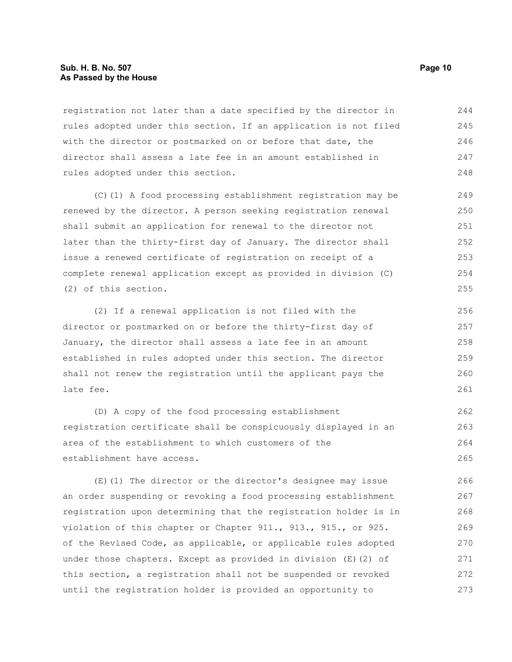#### **Sub. H. B. No. 507 Page 10 As Passed by the House**

registration not later than a date specified by the director in rules adopted under this section. If an application is not filed with the director or postmarked on or before that date, the director shall assess a late fee in an amount established in rules adopted under this section. 244 245 246 247 248

(C)(1) A food processing establishment registration may be renewed by the director. A person seeking registration renewal shall submit an application for renewal to the director not later than the thirty-first day of January. The director shall issue a renewed certificate of registration on receipt of a complete renewal application except as provided in division (C) (2) of this section.

(2) If a renewal application is not filed with the director or postmarked on or before the thirty-first day of January, the director shall assess a late fee in an amount established in rules adopted under this section. The director shall not renew the registration until the applicant pays the late fee. 256 257 258 259 260 261

(D) A copy of the food processing establishment registration certificate shall be conspicuously displayed in an area of the establishment to which customers of the establishment have access.

(E)(1) The director or the director's designee may issue an order suspending or revoking a food processing establishment registration upon determining that the registration holder is in violation of this chapter or Chapter 911., 913., 915., or 925. of the Revised Code, as applicable, or applicable rules adopted under those chapters. Except as provided in division (E)(2) of this section, a registration shall not be suspended or revoked until the registration holder is provided an opportunity to 266 267 268 269 270 271 272 273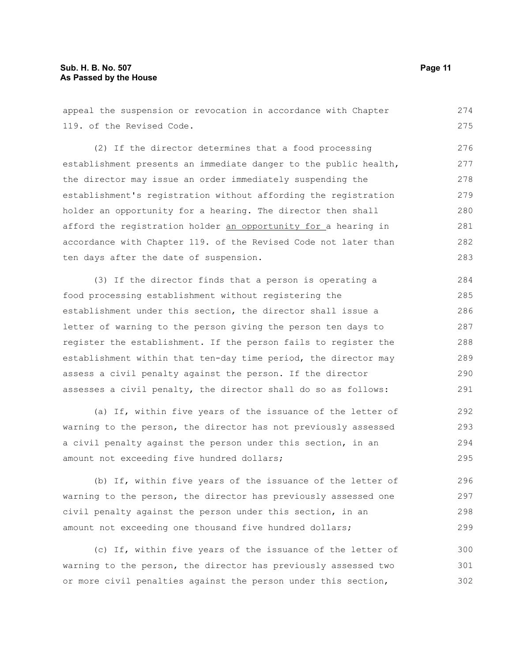appeal the suspension or revocation in accordance with Chapter 119. of the Revised Code. (2) If the director determines that a food processing establishment presents an immediate danger to the public health, the director may issue an order immediately suspending the establishment's registration without affording the registration holder an opportunity for a hearing. The director then shall afford the registration holder an opportunity for a hearing in accordance with Chapter 119. of the Revised Code not later than ten days after the date of suspension. (3) If the director finds that a person is operating a 274 275 276 277 278 279 280 281 282 283 284

food processing establishment without registering the establishment under this section, the director shall issue a letter of warning to the person giving the person ten days to register the establishment. If the person fails to register the establishment within that ten-day time period, the director may assess a civil penalty against the person. If the director assesses a civil penalty, the director shall do so as follows: 285 286 287 288 289 290 291

(a) If, within five years of the issuance of the letter of warning to the person, the director has not previously assessed a civil penalty against the person under this section, in an amount not exceeding five hundred dollars; 292 293 294 295

(b) If, within five years of the issuance of the letter of warning to the person, the director has previously assessed one civil penalty against the person under this section, in an amount not exceeding one thousand five hundred dollars; 296 297 298 299

(c) If, within five years of the issuance of the letter of warning to the person, the director has previously assessed two or more civil penalties against the person under this section, 300 301 302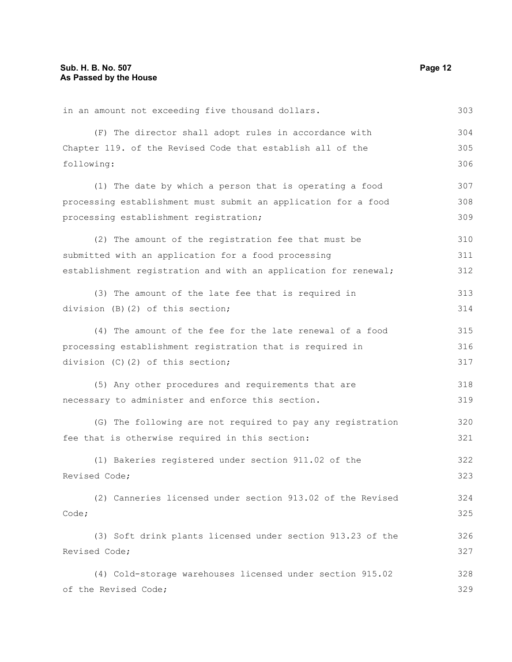in an amount not exceeding five thousand dollars. (F) The director shall adopt rules in accordance with Chapter 119. of the Revised Code that establish all of the following: (1) The date by which a person that is operating a food processing establishment must submit an application for a food processing establishment registration; (2) The amount of the registration fee that must be submitted with an application for a food processing establishment registration and with an application for renewal; (3) The amount of the late fee that is required in division (B)(2) of this section; (4) The amount of the fee for the late renewal of a food processing establishment registration that is required in division (C)(2) of this section; (5) Any other procedures and requirements that are necessary to administer and enforce this section. (G) The following are not required to pay any registration fee that is otherwise required in this section: (1) Bakeries registered under section 911.02 of the Revised Code; (2) Canneries licensed under section 913.02 of the Revised Code; (3) Soft drink plants licensed under section 913.23 of the Revised Code; (4) Cold-storage warehouses licensed under section 915.02 of the Revised Code; 303 304 305 306 307 308 309 310 311 312 313 314 315 316 317 318 319 320 321 322 323 324 325 326 327 328 329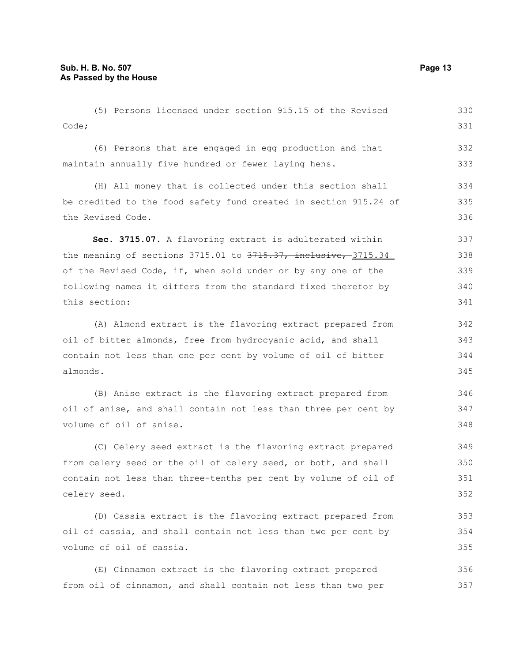celery seed.

(5) Persons licensed under section 915.15 of the Revised Code; (6) Persons that are engaged in egg production and that maintain annually five hundred or fewer laying hens. (H) All money that is collected under this section shall be credited to the food safety fund created in section 915.24 of the Revised Code. **Sec. 3715.07.** A flavoring extract is adulterated within the meaning of sections  $3715.01$  to  $3715.37$ , inclusive,  $3715.34$ of the Revised Code, if, when sold under or by any one of the following names it differs from the standard fixed therefor by this section: (A) Almond extract is the flavoring extract prepared from oil of bitter almonds, free from hydrocyanic acid, and shall contain not less than one per cent by volume of oil of bitter almonds. (B) Anise extract is the flavoring extract prepared from oil of anise, and shall contain not less than three per cent by volume of oil of anise. (C) Celery seed extract is the flavoring extract prepared from celery seed or the oil of celery seed, or both, and shall contain not less than three-tenths per cent by volume of oil of 330 331 332 333 334 335 336 337 338 339 340 341 342 343 344 345 346 347 348 349 350 351

(D) Cassia extract is the flavoring extract prepared from oil of cassia, and shall contain not less than two per cent by volume of oil of cassia. 353 354 355

(E) Cinnamon extract is the flavoring extract prepared from oil of cinnamon, and shall contain not less than two per 356 357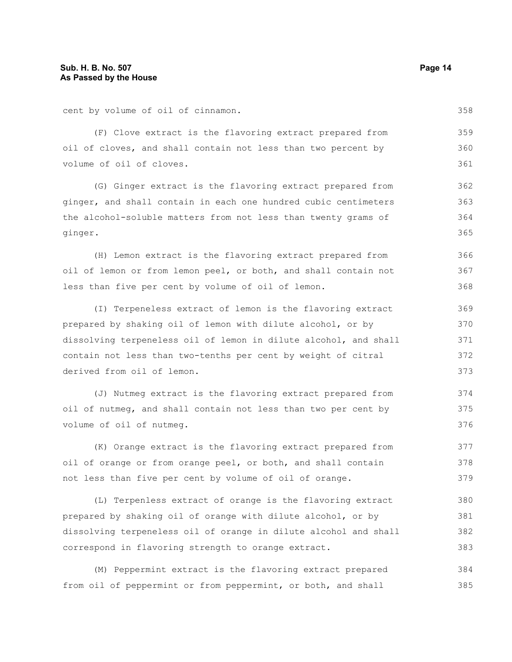cent by volume of oil of cinnamon.

(F) Clove extract is the flavoring extract prepared from oil of cloves, and shall contain not less than two percent by volume of oil of cloves. 359 360 361

(G) Ginger extract is the flavoring extract prepared from ginger, and shall contain in each one hundred cubic centimeters the alcohol-soluble matters from not less than twenty grams of ginger.

(H) Lemon extract is the flavoring extract prepared from oil of lemon or from lemon peel, or both, and shall contain not less than five per cent by volume of oil of lemon. 366 367 368

(I) Terpeneless extract of lemon is the flavoring extract prepared by shaking oil of lemon with dilute alcohol, or by dissolving terpeneless oil of lemon in dilute alcohol, and shall contain not less than two-tenths per cent by weight of citral derived from oil of lemon.

(J) Nutmeg extract is the flavoring extract prepared from oil of nutmeg, and shall contain not less than two per cent by volume of oil of nutmeg. 374 375 376

(K) Orange extract is the flavoring extract prepared from oil of orange or from orange peel, or both, and shall contain not less than five per cent by volume of oil of orange. 377 378 379

(L) Terpenless extract of orange is the flavoring extract prepared by shaking oil of orange with dilute alcohol, or by dissolving terpeneless oil of orange in dilute alcohol and shall correspond in flavoring strength to orange extract. 380 381 382 383

(M) Peppermint extract is the flavoring extract prepared from oil of peppermint or from peppermint, or both, and shall 384 385

362

363 364 365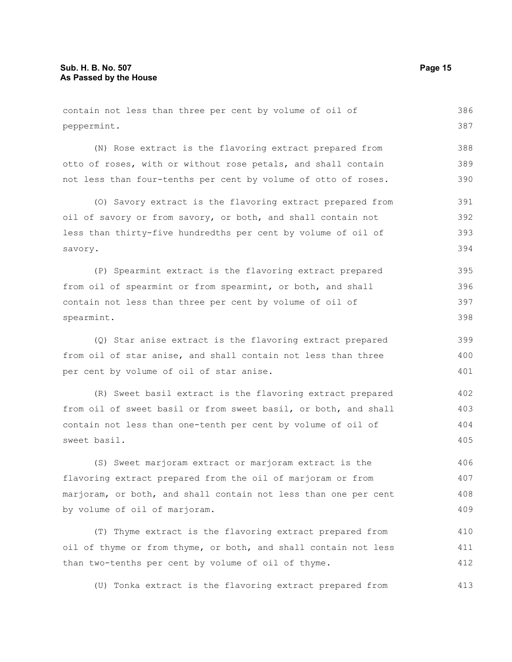contain not less than three per cent by volume of oil of peppermint. 386 387

(N) Rose extract is the flavoring extract prepared from otto of roses, with or without rose petals, and shall contain not less than four-tenths per cent by volume of otto of roses. 388 389 390

(O) Savory extract is the flavoring extract prepared from oil of savory or from savory, or both, and shall contain not less than thirty-five hundredths per cent by volume of oil of savory. 391 392 393 394

(P) Spearmint extract is the flavoring extract prepared from oil of spearmint or from spearmint, or both, and shall contain not less than three per cent by volume of oil of spearmint. 395 396 397 398

(Q) Star anise extract is the flavoring extract prepared from oil of star anise, and shall contain not less than three per cent by volume of oil of star anise.

(R) Sweet basil extract is the flavoring extract prepared from oil of sweet basil or from sweet basil, or both, and shall contain not less than one-tenth per cent by volume of oil of sweet basil. 402 403 404 405

(S) Sweet marjoram extract or marjoram extract is the flavoring extract prepared from the oil of marjoram or from marjoram, or both, and shall contain not less than one per cent by volume of oil of marjoram. 406 407 408 409

(T) Thyme extract is the flavoring extract prepared from oil of thyme or from thyme, or both, and shall contain not less than two-tenths per cent by volume of oil of thyme. 410 411 412

(U) Tonka extract is the flavoring extract prepared from 413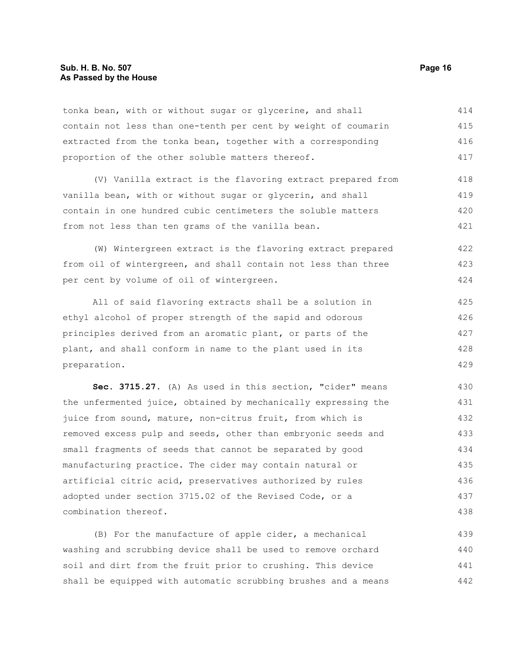tonka bean, with or without sugar or glycerine, and shall contain not less than one-tenth per cent by weight of coumarin extracted from the tonka bean, together with a corresponding proportion of the other soluble matters thereof. 414 415 416 417

(V) Vanilla extract is the flavoring extract prepared from vanilla bean, with or without sugar or glycerin, and shall contain in one hundred cubic centimeters the soluble matters from not less than ten grams of the vanilla bean. 418 419 420 421

(W) Wintergreen extract is the flavoring extract prepared from oil of wintergreen, and shall contain not less than three per cent by volume of oil of wintergreen. 422 423 424

All of said flavoring extracts shall be a solution in ethyl alcohol of proper strength of the sapid and odorous principles derived from an aromatic plant, or parts of the plant, and shall conform in name to the plant used in its preparation. 425 426 427 428 429

**Sec. 3715.27.** (A) As used in this section, "cider" means the unfermented juice, obtained by mechanically expressing the juice from sound, mature, non-citrus fruit, from which is removed excess pulp and seeds, other than embryonic seeds and small fragments of seeds that cannot be separated by good manufacturing practice. The cider may contain natural or artificial citric acid, preservatives authorized by rules adopted under section 3715.02 of the Revised Code, or a combination thereof. 430 431 432 433 434 435 436 437 438

(B) For the manufacture of apple cider, a mechanical washing and scrubbing device shall be used to remove orchard soil and dirt from the fruit prior to crushing. This device shall be equipped with automatic scrubbing brushes and a means 439 440 441 442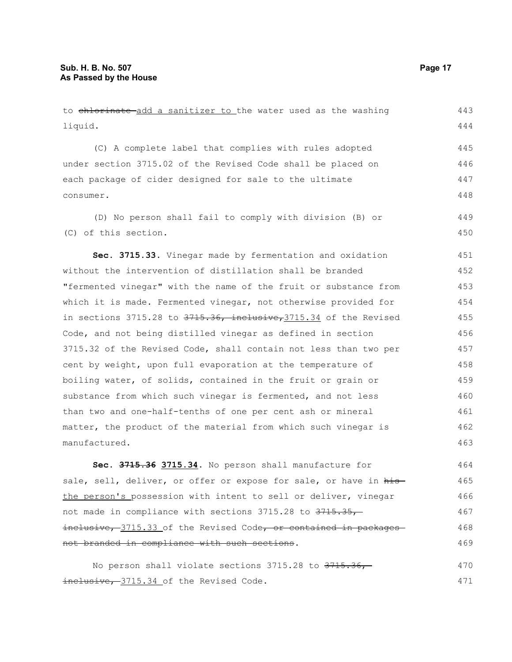to chlorinate add a sanitizer to the water used as the washing liquid. (C) A complete label that complies with rules adopted under section 3715.02 of the Revised Code shall be placed on each package of cider designed for sale to the ultimate consumer. (D) No person shall fail to comply with division (B) or (C) of this section. **Sec. 3715.33.** Vinegar made by fermentation and oxidation without the intervention of distillation shall be branded "fermented vinegar" with the name of the fruit or substance from which it is made. Fermented vinegar, not otherwise provided for in sections  $3715.28$  to  $3715.36$ , inclusive,  $3715.34$  of the Revised Code, and not being distilled vinegar as defined in section 3715.32 of the Revised Code, shall contain not less than two per cent by weight, upon full evaporation at the temperature of boiling water, of solids, contained in the fruit or grain or substance from which such vinegar is fermented, and not less than two and one-half-tenths of one per cent ash or mineral matter, the product of the material from which such vinegar is manufactured. **Sec. 3715.36 3715.34.** No person shall manufacture for 443 444 445 446 447 448 449 450 451 452 453 454 455 456 457 458 459 460 461 462 463 464

sale, sell, deliver, or offer or expose for sale, or have in histhe person's possession with intent to sell or deliver, vinegar not made in compliance with sections 3715.28 to 3715.35, inclusive, 3715.33 of the Revised Code, or contained in packages not branded in compliance with such sections. 465 466 467 468 469

No person shall violate sections  $3715.28$  to  $3715.36$ , inclusive, 3715.34 of the Revised Code. 470 471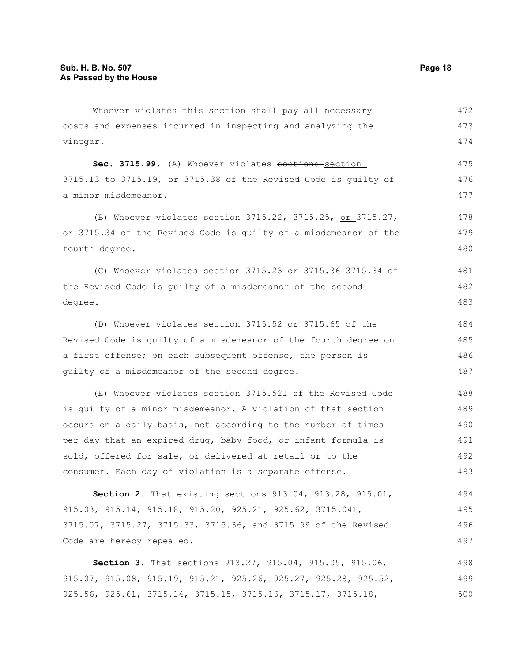Whoever violates this section shall pay all necessary costs and expenses incurred in inspecting and analyzing the vinegar. 472 473 474

Sec. 3715.99. (A) Whoever violates sections section 3715.13 to 3715.19, or 3715.38 of the Revised Code is guilty of a minor misdemeanor. 475 476 477

(B) Whoever violates section 3715.22, 3715.25, or 3715.27 $\rightarrow$ or 3715.34 of the Revised Code is guilty of a misdemeanor of the fourth degree. 478 479 480

(C) Whoever violates section 3715.23 or 3715.36 3715.34 of the Revised Code is guilty of a misdemeanor of the second degree. 481 482 483

(D) Whoever violates section 3715.52 or 3715.65 of the Revised Code is guilty of a misdemeanor of the fourth degree on a first offense; on each subsequent offense, the person is guilty of a misdemeanor of the second degree. 484 485 486 487

(E) Whoever violates section 3715.521 of the Revised Code is guilty of a minor misdemeanor. A violation of that section occurs on a daily basis, not according to the number of times per day that an expired drug, baby food, or infant formula is sold, offered for sale, or delivered at retail or to the consumer. Each day of violation is a separate offense. 488 489 490 491 492 493

**Section 2.** That existing sections 913.04, 913.28, 915.01, 915.03, 915.14, 915.18, 915.20, 925.21, 925.62, 3715.041, 3715.07, 3715.27, 3715.33, 3715.36, and 3715.99 of the Revised Code are hereby repealed. 494 495 496 497

**Section 3.** That sections 913.27, 915.04, 915.05, 915.06, 915.07, 915.08, 915.19, 915.21, 925.26, 925.27, 925.28, 925.52, 925.56, 925.61, 3715.14, 3715.15, 3715.16, 3715.17, 3715.18, 498 499 500